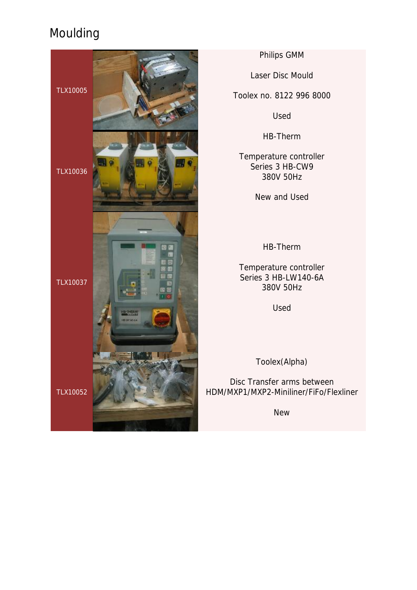

Philips GMM

Laser Disc Mould

Toolex no. 8122 996 8000

Used

HB-Therm

Temperature controller Series 3 HB-CW9 380V 50Hz

New and Used

HB-Therm

Temperature controller Series 3 HB-LW140-6A 380V 50Hz

Used

Toolex(Alpha)

Disc Transfer arms between HDM/MXP1/MXP2-Miniliner/FiFo/Flexliner

New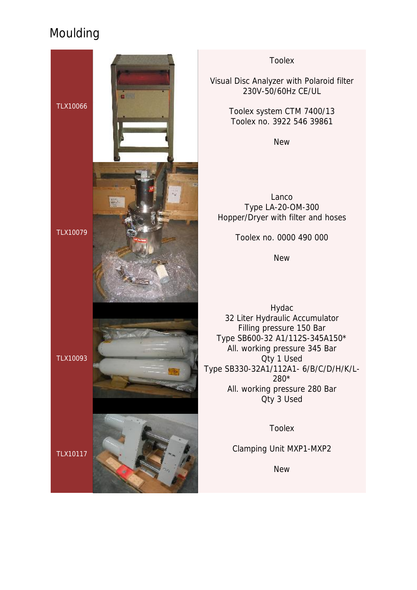

Toolex

Visual Disc Analyzer with Polaroid filter 230V-50/60Hz CE/UL

> Toolex system CTM 7400/13 Toolex no. 3922 546 39861

> > New

Lanco Type LA-20-OM-300 Hopper/Dryer with filter and hoses

Toolex no. 0000 490 000

**New** 

Hydac 32 Liter Hydraulic Accumulator Filling pressure 150 Bar Type SB600-32 A1/112S-345A150\* All. working pressure 345 Bar Qty 1 Used Type SB330-32A1/112A1- 6/B/C/D/H/K/L-280\* All. working pressure 280 Bar Qty 3 Used

Toolex

Clamping Unit MXP1-MXP2

New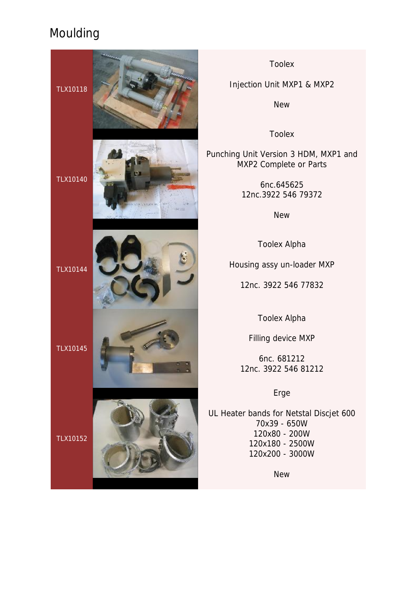

Toolex

Injection Unit MXP1 & MXP2

New

Toolex

Punching Unit Version 3 HDM, MXP1 and MXP2 Complete or Parts

> 6nc.645625 12nc.3922 546 79372

> > New

Toolex Alpha

Housing assy un-loader MXP

12nc. 3922 546 77832

Toolex Alpha

Filling device MXP

6nc. 681212 12nc. 3922 546 81212

Erge

UL Heater bands for Netstal Discjet 600 70x39 - 650W 120x80 - 200W 120x180 - 2500W 120x200 - 3000W

New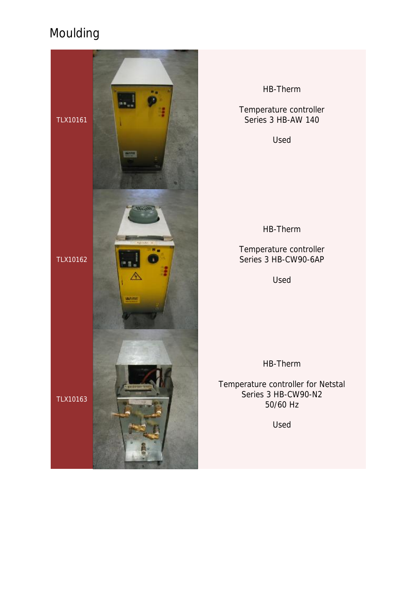

HB-Therm

Temperature controller Series 3 HB-AW 140

Used

HB-Therm

Temperature controller Series 3 HB-CW90-6AP

Used

HB-Therm

Temperature controller for Netstal Series 3 HB-CW90-N2 50/60 Hz

Used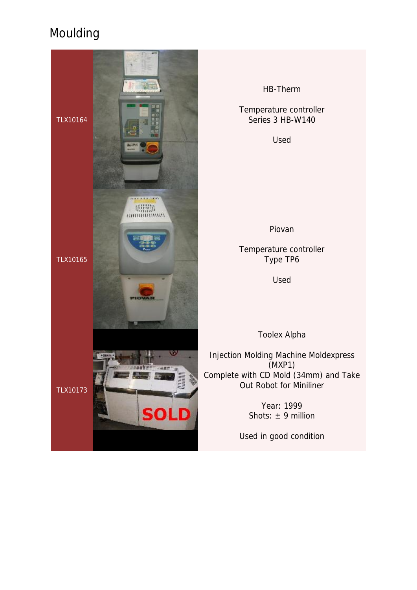

HB-Therm

Temperature controller Series 3 HB-W140

Used

Piovan

Temperature controller Type TP6

Used

Toolex Alpha

Injection Molding Machine Moldexpress (MXP1) Complete with CD Mold (34mm) and Take Out Robot for Miniliner

> Year: 1999 Shots:  $\pm$  9 million

Used in good condition